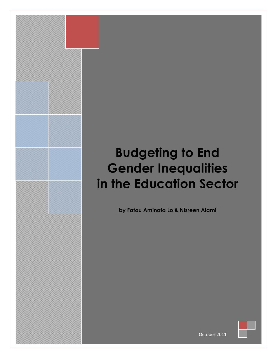# **Budgeting to End Gender Inequalities in the Education Sector**

**by Fatou Aminata Lo & Nisreen Alami**



October 2011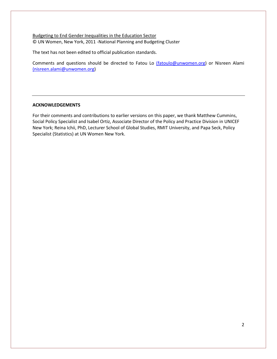Budgeting to End Gender Inequalities in the Education Sector © UN Women, New York, 2011 -National Planning and Budgeting Cluster

The text has not been edited to official publication standards.

Comments and questions should be directed to Fatou Lo [\(fatoulo@unwomen.org\)](mailto:(fatoulo@unwomen.org) or Nisreen Alami [\(nisreen.alami@unwomen.org\)](mailto:(nisreen.alami@unwomen.org)

#### **ACKNOWLEDGEMENTS**

For their comments and contributions to earlier versions on this paper, we thank Matthew Cummins, Social Policy Specialist and Isabel Ortiz, Associate Director of the Policy and Practice Division in UNICEF New York; Reina Ichii, PhD, Lecturer School of Global Studies, RMIT University, and Papa Seck, Policy Specialist (Statistics) at UN Women New York.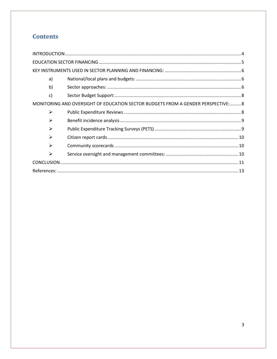# **Contents**

| a)                                                                               |  |  |
|----------------------------------------------------------------------------------|--|--|
| b)                                                                               |  |  |
| $\mathsf{c}$                                                                     |  |  |
| MONITORING AND OVERSIGHT OF EDUCATION SECTOR BUDGETS FROM A GENDER PERSPECTIVE:8 |  |  |
| $\blacktriangleright$                                                            |  |  |
| ➤                                                                                |  |  |
| ↘                                                                                |  |  |
| ➤                                                                                |  |  |
| ⋗                                                                                |  |  |
| ➤                                                                                |  |  |
|                                                                                  |  |  |
|                                                                                  |  |  |
|                                                                                  |  |  |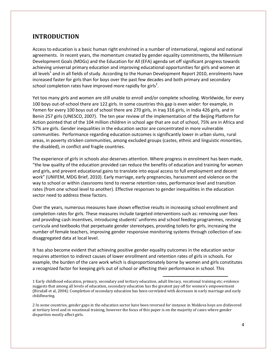# <span id="page-3-0"></span>**INTRODUCTION**

Access to education is a basic human right enshrined in a number of international, regional and national agreements. In recent years, the momentum created by gender equality commitments, the Millennium Development Goals (MDGs) and the Education for All (EFA) agenda set off significant progress towards achieving universal primary education and improving educational opportunities for girls and women at all levels<sup>1</sup> and in all fields of study. According to the Human Development Report 2010, enrolments have increased faster for girls than for boys over the past few decades and both primary and secondary school completion rates have improved more rapidly for girls<sup>2</sup>.

Yet too many girls and women are still unable to enroll and/or complete schooling. Worldwide, for every 100 boys out-of-school there are 122 girls. In some countries this gap is even wider: for example, in Yemen for every 100 boys out of school there are 270 girls, in Iraq 316 girls, in India 426 girls, and in Benin 257 girls (UNESCO, 2007). The ten year review of the implementation of the Beijing Platform for Action pointed that of the 104 million children in school age that are out of school, 75% are in Africa and 57% are girls. Gender inequalities in the education sector are concentrated in more vulnerable communities. Performance regarding education outcomes is significantly lower in urban slums, rural areas, in poverty stricken communities, among excluded groups (castes, ethnic and linguistic minorities, the disabled), in conflict and fragile countries.

The experience of girls in schools also deserves attention. Where progress in enrolment has been made, "the low quality of the education provided can reduce the benefits of education and training for women and girls, and prevent educational gains to translate into equal access to full employment and decent work" (UNIFEM, MDG Brief, 2010). Early marriage, early pregnancies, harassment and violence on the way to school or within classrooms tend to reverse retention rates, performance level and transition rates (from one school level to another). Effective responses to gender inequalities in the education sector need to address these factors.

Over the years, numerous measures have shown effective results in increasing school enrollment and completion rates for girls. These measures include targeted interventions such as: removing user fees and providing cash incentives, introducing students' uniforms and school feeding programmes, revising curricula and textbooks that perpetuate gender stereotypes, providing toilets for girls, increasing the number of female teachers, improving gender responsive monitoring systems through collection of sexdisaggregated data at local level.

It has also become evident that achieving positive gender equality outcomes in the education sector requires attention to indirect causes of lower enrollment and retention rates of girls in schools. For example, the burden of the care work which is disproportionately borne by women and girls constitutes a recognized factor for keeping girls out of school or affecting their performance in school. This

1 Early childhood education, primary, secondary and tertiary education, adult literacy, vocational training etc; evidence suggests that among all levels of education, secondary education has the greatest pay off for women's empowerment (Birsdall et al, 2004). Completion of secondary education has been correlated with decreases in early marriage and early childbearing.

 $\overline{\phantom{a}}$ 

2 In some countries, gender gaps in the education sector have been reversed for instance in Moldova boys are disfavored at tertiary level and in vocational training, however the focus of this paper is on the majority of cases where gender disparities mostly affect girls.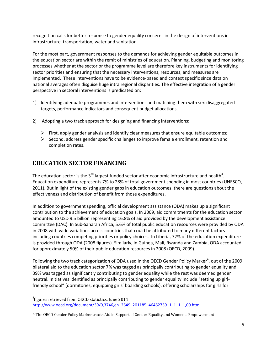recognition calls for better response to gender equality concerns in the design of interventions in infrastructure, transportation, water and sanitation.

For the most part, government responses to the demands for achieving gender equitable outcomes in the education sector are within the remit of ministries of education. Planning, budgeting and monitoring processes whether at the sector or the programme level are therefore key instruments for identifying sector priorities and ensuring that the necessary interventions, resources, and measures are implemented. These interventions have to be evidence-based and context specific since data on national averages often disguise huge intra regional disparities. The effective integration of a gender perspective in sectoral interventions is predicated on:

- 1) Identifying adequate programmes and interventions and matching them with sex-disaggregated targets, performance indicators and consequent budget allocations.
- 2) Adopting a two track approach for designing and financing interventions:
	- $\triangleright$  First, apply gender analysis and identify clear measures that ensure equitable outcomes;
	- $\triangleright$  Second, address gender specific challenges to improve female enrollment, retention and completion rates.

# <span id="page-4-0"></span>**EDUCATION SECTOR FINANCING**

The education sector is the 3<sup>rd</sup> largest funded sector after economic infrastructure and health<sup>3</sup>. Education expenditure represents 7% to 28% of total government spending in most countries (UNESCO, 2011). But in light of the existing gender gaps in education outcomes, there are questions about the effectiveness and distribution of benefit from those expenditures.

In addition to government spending, official development assistance (ODA) makes up a significant contribution to the achievement of education goals. In 2009, aid commitments for the education sector amounted to USD 9.5 billion representing 16.8% of aid provided by the development assistance committee (DAC). In Sub-Saharan Africa, 5.6% of total public education resources were provided by ODA in 2008 with wide variations across countries that could be attributed to many different factors including countries competing priorities or policy choices. In Liberia, 72% of the education expenditure is provided through ODA (2008 figures). Similarly, in Guinea, Mali, Rwanda and Zambia, ODA accounted for approximately 50% of their public education resources in 2008 (OECD, 2009).

Following the two track categorization of ODA used in the OECD Gender Policy Marker<sup>4</sup>, out of the 2009 bilateral aid to the education sector 7% was tagged as principally contributing to gender equality and 39% was tagged as significantly contributing to gender equality while the rest was deemed gender neutral. Initiatives identified as principally contributing to gender equality include "setting up girlfriendly school" (dormitories, equipping girls' boarding schools), offering scholarships for girls for

 $\overline{\phantom{a}}$ 

 $3$ figures retrieved from OECD statistics, June 2011 [http://www.oecd.org/document/39/0,3746,en\\_2649\\_201185\\_46462759\\_1\\_1\\_1\\_1,00.html](http://www.oecd.org/document/39/0,3746,en_2649_201185_46462759_1_1_1_1,00.html)

4 The OECD Gender Policy Marker tracks Aid in Support of Gender Equality and Women's Empowerment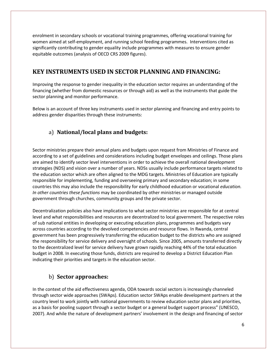enrolment in secondary schools or vocational training programmes, offering vocational training for women aimed at self-employment, and running school feeding programmes. Interventions cited as significantly contributing to gender equality include programmes with measures to ensure gender equitable outcomes (analysis of OECD CRS 2009 figures).

# <span id="page-5-0"></span>**KEY INSTRUMENTS USED IN SECTOR PLANNING AND FINANCING:**

Improving the response to gender inequality in the education sector requires an understanding of the financing (whether from domestic resources or through aid) as well as the instruments that guide the sector planning and monitor performance.

<span id="page-5-1"></span>Below is an account of three key instruments used in sector planning and financing and entry points to address gender disparities through these instruments:

# a) **National/local plans and budgets:**

Sector ministries prepare their annual plans and budgets upon request from Ministries of Finance and according to a set of guidelines and considerations including budget envelopes and ceilings. Those plans are aimed to identify sector level interventions in order to achieve the overall national development strategies (NDS) and vision over a number of years. NDSs usually include performance targets related to the education sector which are often aligned to the MDG targets. Ministries of Education are typically responsible for implementing, funding and overseeing primary and secondary education; in some countries this may also include the responsibility for early childhood education or vocational *education. In other countries these functions* may be coordinated by other ministries or managed outside government through churches, community groups and the private sector.

Decentralization policies also have implications to what sector ministries are responsible for at central level and what responsibilities and resources are decentralized to local government. The respective roles of sub national entities in developing or executing education plans, programmes and budgets vary across countries according to the devolved competencies and resource flows. In Rwanda, central government has been progressively transferring the education budget to the districts who are assigned the responsibility for service delivery and oversight of schools. Since 2005, amounts transferred directly to the decentralized level for service delivery have grown rapidly reaching 44% of the total education budget in 2008. In executing those funds, districts are required to develop a District Education Plan indicating their priorities and targets in the education sector.

## b) **Sector approaches:**

<span id="page-5-2"></span>In the context of the aid effectiveness agenda, ODA towards social sectors is increasingly channeled through sector wide approaches (SWAps). Education sector SWAps enable development partners at the country level to work jointly with national governments to review education sector plans and priorities, as a basis for pooling support through a sector budget or a general budget support process" (UNESCO, 2007). And while the nature of development partners' involvement in the design and financing of sector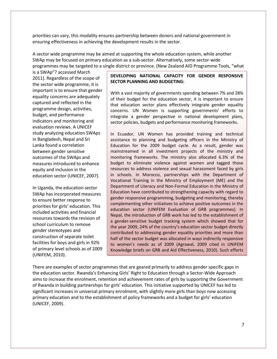priorities can vary, this modality ensures partnership between donors and national government in ensuring effectiveness in achieving the development results in the sector.

A sector wide programme may be aimed at supporting the whole education system, while another SWAp may be focused on primary education as a sub-sector. Alternatively, some sector-wide programmes may be targeted to a single district or province. (New Zealand AID Programme Tools, "what

is a SWAp"? accessed March 2011). Regardless of the scope of the sector wide programme, it is important is to ensure that gender equality concerns are adequately captured and reflected in the programme design, activities, budget, and performance indicators and monitoring and evaluation reviews. A UNICEF study analyzing education SWAps in Bangladesh, Nepal and Sri Lanka found a correlation between gender sensitive outcomes of the SWAps and measures introduced to enhance equity and inclusion in the education sector (UNICEF, 2007).

In Uganda, the education sector SWAp has incorporated measures to ensure better response to priorities for girls' education. This included activities and financial resources towards the revision of school curriculum to remove gender stereotypes and construction of separate toilet facilities for boys and girls in 92% of primary level schools as of 2009 (UNIFEM, 2010).

#### **DEVELOPING NATIONAL CAPACITY FOR GENDER RESPONSIVE SECTOR PLANNING AND BUDGETING:**

With a vast majority of governments spending between 7% and 28% of their budget for the education sector, it is important to ensure that education sector plans effectively integrate gender equality concerns. UN Women is supporting governments' efforts to integrate a gender perspective in national development plans, sector policies, budgets and performance monitoring frameworks.

In Ecuador, UN Women has provided training and technical assistance to planning and budgeting officers in the Ministry of Education for the 2009 budget cycle. As a result, gender was mainstreamed in all investment projects of the ministry and monitoring frameworks. The ministry also allocated 6.3% of the budget to eliminate violence against women and tagged those resources to address violence and sexual harassment faced by girls in schools. In Morocco, partnerships with the Department of Vocational Training in the Ministry of Employment (ME) and the Department of Literacy and Non-Formal Education in the Ministry of Education have contributed to strengthening capacity with regard to gender responsive programming, budgeting and monitoring, thereby complementing other initiatives to achieve positive outcomes in the education sector (UNIFEM Evaluation of GRB programmes). In Nepal, the introduction of GRB work has led to the establishment of a gender-sensitive budget tracking system which showed that for the year 2009, 24% of the country's education sector budget directly contributed to addressing gender equality priorities and more than half of the sector budget was allocated in ways indirectly responsive to women's needs as of 2009 (Agrawal, 2009 cited in UNIFEM Knowledge briefs on GRB and Aid Effectiveness, 2010). Such efforts

need to be echoed by governments and development partners.

There are examples of sector programmes that are geared primarily to address gender specific gaps in the education sector. Rwanda's Enhancing Girls' Right to Education through a Sector-Wide Approach aims to increase the enrolment, retention and achievement rates of girls by supporting the Government of Rwanda in building partnerships for girls' education. This initiative supported by UNICEF has led to significant increases in universal primary enrolment, with slightly more girls than boys now accessing primary education and to the establishment of policy frameworks and a budget for girls' education (UNICEF, 2009).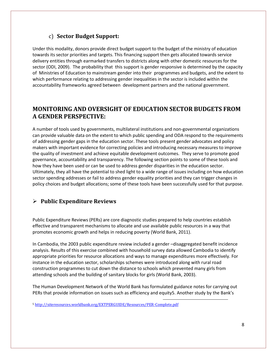# c) **Sector Budget Support:**

<span id="page-7-0"></span>Under this modality, donors provide direct budget support to the budget of the ministry of education towards its sector priorities and targets. This financing support then gets allocated towards service delivery entities through earmarked transfers to districts along with other domestic resources for the sector (ODI, 2009). The probability that this support is gender responsive is determined by the capacity of Ministries of Education to mainstream gender into their programmes and budgets, and the extent to which performance relating to addressing gender inequalities in the sector is included within the accountability frameworks agreed between development partners and the national government.

# <span id="page-7-1"></span>**MONITORING AND OVERSIGHT OF EDUCATION SECTOR BUDGETS FROM A GENDER PERSPECTIVE:**

A number of tools used by governments, multilateral institutions and non-governmental organizations can provide valuable data on the extent to which public spending and ODA respond to the requirements of addressing gender gaps in the education sector. These tools present gender advocates and policy makers with important evidence for correcting policies and introducing necessary measures to improve the quality of investment and achieve equitable development outcomes. They serve to promote good governance, accountability and transparency. The following section points to some of these tools and how they have been used or can be used to address gender disparities in the education sector. Ultimately, they all have the potential to shed light to a wide range of issues including on how education sector spending addresses or fail to address gender equality priorities and they can trigger changes in policy choices and budget allocations; some of these tools have been successfully used for that purpose.

# <span id="page-7-2"></span>**Public Expenditure Reviews**

Public Expenditure Reviews (PERs) are core diagnostic studies prepared to help countries establish effective and transparent mechanisms to allocate and use available public resources in a way that promotes economic growth and helps in reducing poverty (World Bank, 2011).

In Cambodia, the 2003 public expenditure review included a gender –disaggregated benefit incidence analysis. Results of this exercise combined with household survey data allowed Cambodia to identify appropriate priorities for resource allocations and ways to manage expenditures more effectively. For instance in the education sector, scholarships schemes were introduced along with rural road construction programmes to cut down the distance to schools which prevented many girls from attending schools and the building of sanitary blocks for girls (World Bank, 2003).

The Human Development Network of the World Bank has formulated guidance notes for carrying out PERs that provide information on issues such as efficiency and equity5. Another study by the Bank's

l

<sup>5</sup> <http://siteresources.worldbank.org/EXTPERGUIDE/Resources/PER-Complete.pdf>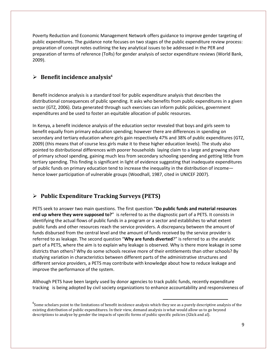Poverty Reduction and Economic Management Network offers guidance to improve gender targeting of public expenditures. The guidance note focuses on two stages of the public expenditure review process: preparation of concept notes outlining the key analytical issues to be addressed in the PER and preparation of terms of reference (ToRs) for gender analysis of sector expenditure reviews (World Bank, 2009).

## <span id="page-8-0"></span>**Benefit incidence analysis<sup>6</sup>**

Benefit incidence analysis is a standard tool for public expenditure analysis that describes the distributional consequences of public spending. It asks who benefits from public expenditures in a given sector (GTZ, 2006). Data generated through such exercises can inform public policies, government expenditures and be used to foster an equitable allocation of public resources.

In Kenya, a benefit incidence analysis of the education sector revealed that boys and girls seem to benefit equally from primary education spending; however there are differences in spending on secondary and tertiary education where girls gain respectively 47% and 38% of public expenditures (GTZ, 2009) (this means that of course less girls make it to these higher education levels). The study also pointed to distributional differences with poorer households laying claim to a large and growing share of primary school spending, gaining much less from secondary schooling spending and getting little from tertiary spending. This finding is significant in light of evidence suggesting that inadequate expenditures of public funds on primary education tend to increase the inequality in the distribution of income hence lower participation of vulnerable groups (Woodhall, 1987, cited in UNICEF 2007).

## <span id="page-8-1"></span>**Public Expenditure Tracking Surveys (PETS)**

PETS seek to answer two main questions. The first question "**Do public funds and material resources end up where they were supposed to?**" is referred to as the diagnostic part of a PETS. It consists in identifying the actual flows of public funds in a program or a sector and establishes to what extent public funds and other resources reach the service providers. A discrepancy between the amount of funds disbursed from the central level and the amount of funds received by the service provider is referred to as leakage. The second question "**Why are funds diverted**?" is referred to as the analytic part of a PETS, where the aim is to explain why leakage is observed. Why is there more leakage in some districts than others? Why do some schools receive more of their entitlements than other schools? By studying variation in characteristics between different parts of the administrative structures and different service providers, a PETS may contribute with knowledge about how to reduce leakage and improve the performance of the system.

Although PETS have been largely used by donor agencies to track public funds, recently expenditure tracking is being adopted by civil society organizations to enhance accountability and responsiveness of

 $\overline{\phantom{a}}$ 

 $^6$ Some scholars point to the limitations of benefit incidence analysis which they see as a purely descriptive analysis of the existing distribution of public expenditures. In their view, demand analysis is what would allow us to go beyond descriptions to analyze by gender the impacts of specific forms of public specific policies (Glick and al).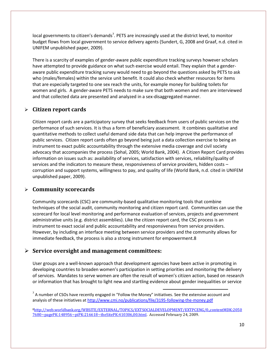local governments to citizen's demands<sup>7</sup>. PETS are increasingly used at the district level, to monitor budget flows from local government to service delivery agents (Sundert, G, 2008 and Graaf, n.d. cited in UNIFEM unpublished paper, 2009).

There is a scarcity of examples of gender-aware public expenditure tracking surveys however scholars have attempted to provide guidance on what such exercise would entail. They explain that a genderaware public expenditure tracking survey would need to go beyond the questions asked by PETS to ask who (males/females) within the service unit benefit. It could also check whether resources for items that are especially targeted to one sex reach the units, for example money for building toilets for women and girls. A gender-aware PETS needs to make sure that both women and men are interviewed and that collected data are presented and analyzed in a sex-disaggregated manner.

### <span id="page-9-0"></span>**Citizen report cards**

Citizen report cards are a participatory survey that seeks feedback from users of public services on the performance of such services. It is thus a form of beneficiary assessment. It combines qualitative and quantitative methods to collect useful demand side data that can help improve the performance of public services. Citizen report cards often go beyond being just a data collection exercise to being an instrument to exact public accountability through the extensive media coverage and civil society advocacy that accompanies the process (Sohal, 2005; World Bank, 2004). A Citizen Report Card provides information on issues such as: availability of services, satisfaction with services, reliability/quality of services and the indicators to measure these, responsiveness of service providers, hidden costs – corruption and support systems, willingness to pay, and quality of life (World Bank, n.d. cited in UNIFEM unpublished paper, 2009).

#### <span id="page-9-1"></span>**Community scorecards**

Community scorecards (CSC) are community-based qualitative monitoring tools that combine techniques of the social audit, community monitoring and citizen report card. Communities can use the scorecard for local level monitoring and performance evaluation of services, projects and government administrative units (e.g. district assemblies). Like the citizen report card, the CSC process is an instrument to exact social and public accountability and responsiveness from service providers. However, by including an interface meeting between service providers and the community allows for immediate feedback, the process is also a strong instrument for empowerment.8

#### <span id="page-9-2"></span>**Service oversight and management committees:**

User groups are a well-known approach that development agencies have been active in promoting in developing countries to broaden women's participation in setting priorities and monitoring the delivery of services. Mandates to serve women are often the result of women's citizen action, based on research or information that has brought to light new and startling evidence about gender inequalities or service

 $\overline{\phantom{a}}$ 

 $^7$  A number of CSOs have recently engaged in "Follow the Money" initiatives. See the extensive account and analysis of these initiatives at<http://www.cmi.no/publications/file/3195-following-the-money.pdf>

<sup>8</sup>[http://web.worldbank.org/WBSITE/EXTERNAL/TOPICS/EXTSOCIALDEVELOPMENT/EXTPCENG/0,,contentMDK:2050](http://web.worldbank.org/WBSITE/EXTERNAL/TOPICS/EXTSOCIALDEVELOPMENT/EXTPCENG/0,,contentMDK:20507680~pagePK:148956~piPK:216618~theSitePK:410306,00.html) [7680~pagePK:148956~piPK:216618~theSitePK:410306,00.html.](http://web.worldbank.org/WBSITE/EXTERNAL/TOPICS/EXTSOCIALDEVELOPMENT/EXTPCENG/0,,contentMDK:20507680~pagePK:148956~piPK:216618~theSitePK:410306,00.html) Accessed February 24, 2009.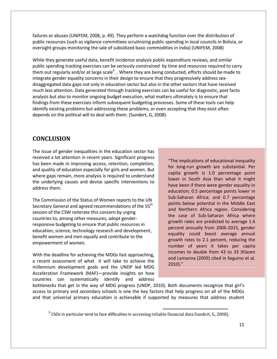failures or abuses (UNIFEM, 2008, p. 49). They perform a watchdog function over the distribution of public resources (such as vigilance committees scrutinizing public spending in local councils in Bolivia, or oversight groups monitoring the sale of subsidized basic commodities in India) (UNIFEM, 2008)

While they generate useful data, benefit incidence analysis public expenditure reviews, and similar public spending tracking exercises can be seriously constrained by time and resources required to carry them out regularly and/or at large scale<sup>9</sup>. . Where they are being conducted, efforts should be made to integrate gender equality concerns in their design to ensure that they progressively address sexdisaggregated data gaps not only in education sector but also in the other sectors that have received much less attention. Data generated through tracking exercises can be useful for diagnostic, post facto analysis but also to monitor ongoing budget execution, what matters ultimately is to ensure that findings from these exercises inform subsequent budgeting processes. Some of these tools can help identify existing problems but addressing these problems, or even accepting that they exist often depends on the political will to deal with them. (Sundert, G, 2008).

## <span id="page-10-0"></span>**CONCLUSION**

The issue of gender inequalities in the education sector has received a lot attention in recent years. Significant progress has been made in improving access, retention, completion, and quality of education especially for girls and women. But where gaps remain, more analysis is required to understand the underlying causes and devise specific interventions to address them.

The Commission of the Status of Women reports to the UN Secretary General and agreed recommendations of the 55<sup>th</sup> session of the CSW reiterate this concern by urging countries to, among other measures, adopt genderresponsive budgeting to ensure that public resources in education, science, technology research and development, benefit women and men equally and contribute to the empowerment of women.

With the deadline for achieving the MDGs fast approaching, a recent assessment of what it will take to achieve the millennium development goals and the UNDP led MDG Acceleration Framework (MAF)—provide insights on how countries can systematically identify and address

"The implications of educational inequality for long-run growth are substantial. Per capita growth is 1.0 percentage point lower in South Asia than what it might have been if there were gender equality in education; 0.5 percentage points lower in Sub-Saharan Africa; and 0.7 percentage points below potential in the Middle East and Northern Africa region. Considering the case of Sub-Saharan Africa where growth rates are predicted to average 1.6 percent annually from 2006-2015, gender equality could boost average annual growth rates to 2.1 percent, reducing the number of years it takes per capita incomes to double from 43 to 33 (Klasen and Lamanna (2009) cited in Seguino et al. 2010)."

bottlenecks that get in the way of MDG progress (UNDP, 2010). Both documents recognize that girl's access to primary and secondary schools is one the key factors that help progress on all of the MDGs and that universal primary education is achievable if supported by measures that address student

l

 $^{9}$  CSOs in particular tend to face difficulties in accessing reliable financial data Sundert, G, 2008).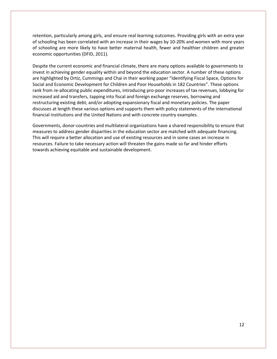retention, particularly among girls, and ensure real learning outcomes. Providing girls with an extra year of schooling has been correlated with an increase in their wages by 10-20% and women with more years of schooling are more likely to have better maternal health, fewer and healthier children and greater economic opportunities (DFID, 2011).

Despite the current economic and financial climate, there are many options available to governments to invest in achieving gender equality within and beyond the education sector. A number of these options are highlighted by Ortiz, Cummings and Chai in their working paper "Identifying Fiscal Space, Options for Social and Economic Development for Children and Poor Households in 182 Countries". These options rank from re-allocating public expenditures, introducing pro-poor increases of tax revenues, lobbying for increased aid and transfers, tapping into fiscal and foreign exchange reserves, borrowing and restructuring existing debt, and/or adopting expansionary fiscal and monetary policies. The paper discusses at length these various options and supports them with policy statements of the international financial institutions and the United Nations and with concrete country examples.

Governments, donor-countries and multilateral organizations have a shared responsibility to ensure that measures to address gender disparities in the education sector are matched with adequate financing. This will require a better allocation and use of existing resources and in some cases an increase in resources. Failure to take necessary action will threaten the gains made so far and hinder efforts towards achieving equitable and sustainable development.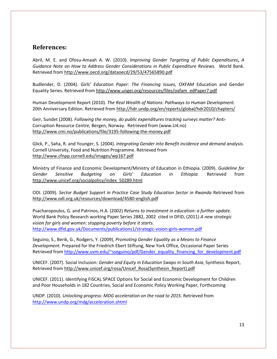## <span id="page-12-0"></span>**References:**

Abril, M. E. and Ofosu-Amaah A. W. (2010). *Improving Gender Targeting of Public Expenditures***,** *A Guidance Note on How to Address Gender Considerations in Public Expenditure Reviews.* World Bank. Retrieved from<http://www.oecd.org/dataoecd/29/53/47565890.pdf>

Budlender, D. (2004). *Girls' Education Paper: The Financing Issues,* OXFAM Education and Gender Equality Series. Retrieved from [http://www.ungei.org/resources/files/oxfam\\_edPaper7.pdf](http://www.ungei.org/resources/files/oxfam_edPaper7.pdf)

Human Development Report (2010). *The Real Wealth of Nations: Pathways to Human Development.*  20th Anniversary Edition. Retrieved from <http://hdr.undp.org/en/reports/global/hdr2010/chapters/>

Geir, Sundet (2008). *Following the money, do public expenditures tracking surveys matter?* Anti-Corruption Resource Centre, Bergen, Norway. Retrieved from (www.U4.no) <http://www.cmi.no/publications/file/3195-following-the-money.pdf>

Glick, P., Saha, R. and Younger, S. (2004). *Integrating Gender into Benefit incidence and demand analysis.* Cornell University, Food and Nutrition Programme. Retrieved from <http://www.cfnpp.cornell.edu/images/wp167.pdf>

Ministry of Finance and Economic Development/Ministry of Education in Ethiopia. (2009). *Guideline for Gender Sensitive Budgeting on Girls' Education in Ethiopia.* Retrieved from [http://www.unicef.org/socialpolicy/index\\_50289.html](http://www.unicef.org/socialpolicy/index_50289.html)

ODI. (2009). *Sector Budget Support in Practice Case Study Education Sector in Rwanda* Retrieved from <http://www.odi.org.uk/resources/download/4580-english.pdf>

Psacharopoulos, G. and Patrinos, H.A. (2002) *Returns to investment in education: a further update.*  World Bank Policy Research working Paper Series 2882, 2002 cited in DFID, (2011) *A new strategic vision for girls and women: stopping poverty before it starts.* <http://www.dfid.gov.uk/Documents/publications1/strategic-vision-girls-women.pdf>

Seguino, S., Berik, G., Rodgers, Y. (2009), *Promoting Gender Equality as a Means to Finance Development.* Prepared for the Friedrich Ebert Stiftung, New York Office, Occasional Paper Series Retrieved from [http://www.uvm.edu/~sseguino/pdf/Gender\\_equality\\_financing\\_for\\_development.pdf](http://www.uvm.edu/~sseguino/pdf/Gender_equality_financing_for_development.pdf)

UNICEF. (2007). Social Inclusion: *Gender and Equity in Education Swaps in South Asia*, Synthesis Report, Retrieved from [http://www.unicef.org/rosa/Unicef\\_Rosa\(Synthesin\\_Report\).pdf](http://www.unicef.org/rosa/Unicef_Rosa(Synthesin_Report).pdf)

UNICEF. (2011). Identifying FISCAL SPACE Options for Social and Economic Development for Children and Poor Households in 182 Countries, Social and Economic Policy Working Paper, Forthcoming

UNDP. (2010). *Unlocking progress: MDG acceleration on the road to 2015.* Retrieved from <http://www.undp.org/mdg/acceleration.shtml>